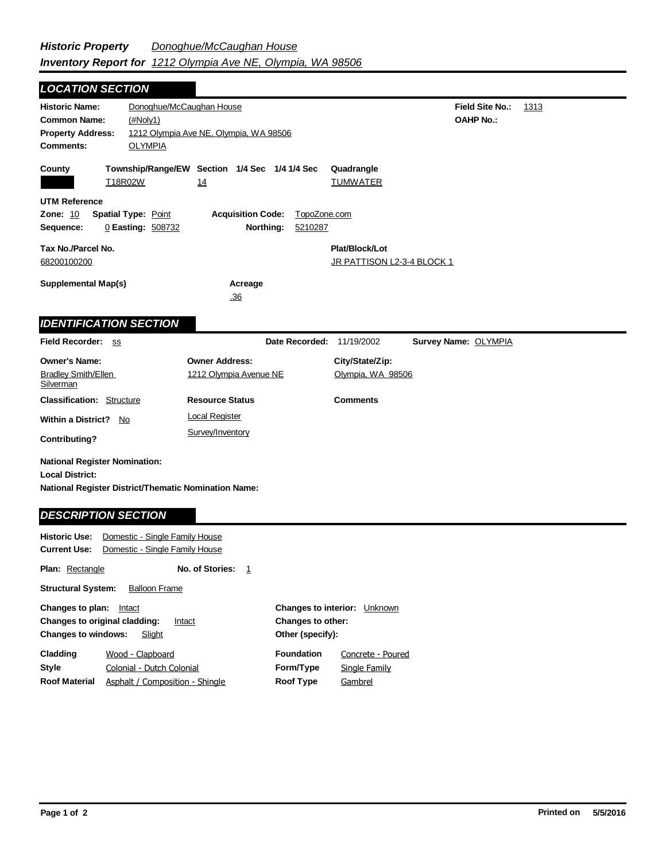*LOCATION SECTION*

| <b>Historic Name:</b><br><b>Common Name:</b><br><b>Property Address:</b><br><b>Comments:</b>                                                         | Donoghue/McCaughan House<br>(HNoly1)<br><b>OLYMPIA</b>           | 1212 Olympia Ave NE, Olympia, WA 98506              |                                      |                                              | <b>Field Site No.:</b><br><b>OAHP No.:</b> | 1313 |
|------------------------------------------------------------------------------------------------------------------------------------------------------|------------------------------------------------------------------|-----------------------------------------------------|--------------------------------------|----------------------------------------------|--------------------------------------------|------|
| County<br>T18R02W                                                                                                                                    |                                                                  | Township/Range/EW Section 1/4 Sec 1/4 1/4 Sec<br>14 |                                      | Quadrangle<br><b>TUMWATER</b>                |                                            |      |
| <b>UTM Reference</b><br><b>Zone: 10</b><br>Sequence:                                                                                                 | <b>Spatial Type: Point</b><br>0 Easting: 508732                  | <b>Acquisition Code:</b>                            | TopoZone.com<br>Northing:<br>5210287 |                                              |                                            |      |
| Tax No./Parcel No.<br>68200100200                                                                                                                    |                                                                  |                                                     |                                      | Plat/Block/Lot<br>JR PATTISON L2-3-4 BLOCK 1 |                                            |      |
| <b>Supplemental Map(s)</b>                                                                                                                           |                                                                  | Acreage<br>.36                                      |                                      |                                              |                                            |      |
| <b>IDENTIFICATION SECTION</b>                                                                                                                        |                                                                  |                                                     |                                      |                                              |                                            |      |
| Field Recorder: SS                                                                                                                                   |                                                                  |                                                     | Date Recorded:                       | 11/19/2002                                   | Survey Name: OLYMPIA                       |      |
| <b>Owner's Name:</b><br><b>Bradley Smith/Ellen</b><br>Silverman                                                                                      |                                                                  | <b>Owner Address:</b><br>1212 Olympia Avenue NE     |                                      | City/State/Zip:<br>Olympia, WA 98506         |                                            |      |
| <b>Classification: Structure</b>                                                                                                                     |                                                                  | <b>Resource Status</b>                              |                                      | <b>Comments</b>                              |                                            |      |
| <b>Within a District?</b><br>No<br><b>Contributing?</b>                                                                                              |                                                                  | <b>Local Register</b><br>Survey/Inventory           |                                      |                                              |                                            |      |
| <b>National Register Nomination:</b><br><b>Local District:</b><br>National Register District/Thematic Nomination Name:<br><b>DESCRIPTION SECTION</b> |                                                                  |                                                     |                                      |                                              |                                            |      |
| <b>Historic Use:</b><br><b>Current Use:</b><br><b>Plan: Rectangle</b>                                                                                | Domestic - Single Family House<br>Domestic - Single Family House | No. of Stories:<br>$\mathbf{1}$                     |                                      |                                              |                                            |      |

**Structural System:** Balloon Frame

| Changes to plan:<br>Intact<br><b>Changes to original cladding:</b><br>Intact<br><b>Changes to windows:</b><br>Slight                 | <b>Changes to interior:</b> Unknown<br>Changes to other:<br>Other (specify): |                                               |  |
|--------------------------------------------------------------------------------------------------------------------------------------|------------------------------------------------------------------------------|-----------------------------------------------|--|
| Cladding<br>Wood - Clapboard<br><b>Style</b><br>Colonial - Dutch Colonial<br><b>Roof Material</b><br>Asphalt / Composition - Shingle | <b>Foundation</b><br>Form/Type<br>Roof Type                                  | Concrete - Poured<br>Single Family<br>Gambrel |  |